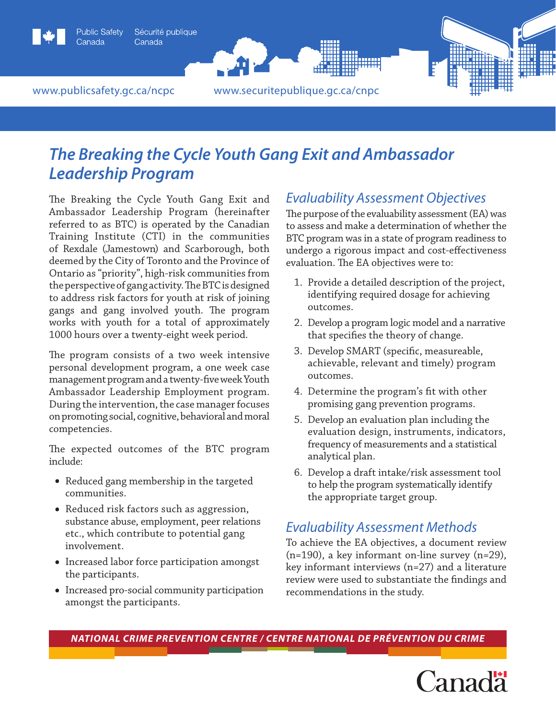

# *The Breaking the Cycle Youth Gang Exit and Ambassador Leadership Program*

The Breaking the Cycle Youth Gang Exit and Ambassador Leadership Program (hereinafter referred to as BTC) is operated by the Canadian Training Institute (CTI) in the communities of Rexdale (Jamestown) and Scarborough, both deemed by the City of Toronto and the Province of Ontario as "priority", high-risk communities from the perspective of gang activity. The BTC is designed to address risk factors for youth at risk of joining gangs and gang involved youth. The program works with youth for a total of approximately 1000 hours over a twenty-eight week period.

The program consists of a two week intensive personal development program, a one week case management program and a twenty-five week Youth Ambassador Leadership Employment program. During the intervention, the case manager focuses on promoting social, cognitive, behavioral and moral competencies.

The expected outcomes of the BTC program include:

- Reduced gang membership in the targeted communities.
- • Reduced risk factors such as aggression, substance abuse, employment, peer relations etc., which contribute to potential gang involvement.
- Increased labor force participation amongst the participants.
- Increased pro-social community participation amongst the participants.

### *Evaluability Assessment Objectives*

The purpose of the evaluability assessment (EA) was to assess and make a determination of whether the BTC program was in a state of program readiness to undergo a rigorous impact and cost-effectiveness evaluation. The EA objectives were to:

- 1. Provide a detailed description of the project, identifying required dosage for achieving outcomes.
- 2. Develop a program logic model and a narrative that specifies the theory of change.
- 3. Develop SMART (specific, measureable, achievable, relevant and timely) program outcomes.
- 4. Determine the program's fit with other promising gang prevention programs.
- 5. Develop an evaluation plan including the evaluation design, instruments, indicators, frequency of measurements and a statistical analytical plan.
- 6. Develop a draft intake/risk assessment tool to help the program systematically identify the appropriate target group.

### *Evaluability Assessment Methods*

To achieve the EA objectives, a document review (n=190), a key informant on-line survey (n=29), key informant interviews (n=27) and a literature review were used to substantiate the findings and recommendations in the study.

*National Crime Prevention Centre / centre national de prévention du crime*

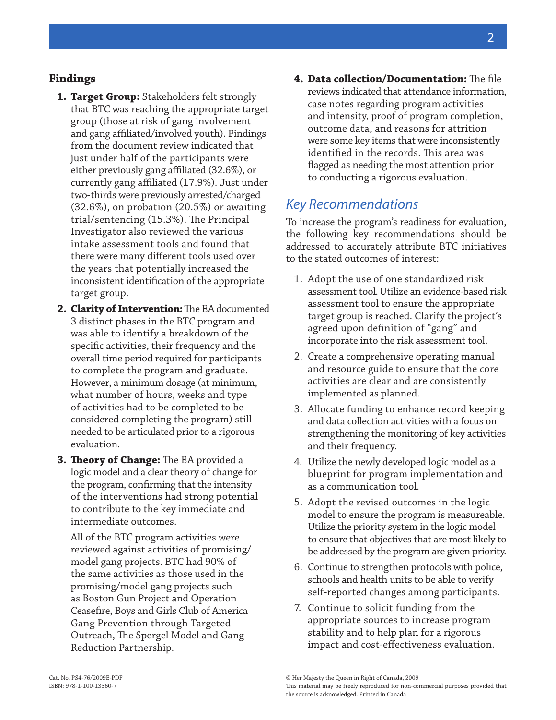#### **Findings**

- **1. Target Group:** Stakeholders felt strongly that BTC was reaching the appropriate target group (those at risk of gang involvement and gang affiliated/involved youth). Findings from the document review indicated that just under half of the participants were either previously gang affiliated (32.6%), or currently gang affiliated (17.9%). Just under two-thirds were previously arrested/charged (32.6%), on probation (20.5%) or awaiting trial/sentencing (15.3%). The Principal Investigator also reviewed the various intake assessment tools and found that there were many different tools used over the years that potentially increased the inconsistent identification of the appropriate target group.
- **2. Clarity of Intervention:** The EA documented 3 distinct phases in the BTC program and was able to identify a breakdown of the specific activities, their frequency and the overall time period required for participants to complete the program and graduate. However, a minimum dosage (at minimum, what number of hours, weeks and type of activities had to be completed to be considered completing the program) still needed to be articulated prior to a rigorous evaluation.
- **3. Theory of Change:** The EA provided a logic model and a clear theory of change for the program, confirming that the intensity of the interventions had strong potential to contribute to the key immediate and intermediate outcomes.

All of the BTC program activities were reviewed against activities of promising/ model gang projects. BTC had 90% of the same activities as those used in the promising/model gang projects such as Boston Gun Project and Operation Ceasefire, Boys and Girls Club of America Gang Prevention through Targeted Outreach, The Spergel Model and Gang Reduction Partnership.

**4. Data collection/Documentation:** The file reviews indicated that attendance information, case notes regarding program activities and intensity, proof of program completion, outcome data, and reasons for attrition were some key items that were inconsistently identified in the records. This area was flagged as needing the most attention prior to conducting a rigorous evaluation.

### *Key Recommendations*

To increase the program's readiness for evaluation, the following key recommendations should be addressed to accurately attribute BTC initiatives to the stated outcomes of interest:

- 1. Adopt the use of one standardized risk assessment tool. Utilize an evidence-based risk assessment tool to ensure the appropriate target group is reached. Clarify the project's agreed upon definition of "gang" and incorporate into the risk assessment tool.
- 2. Create a comprehensive operating manual and resource guide to ensure that the core activities are clear and are consistently implemented as planned.
- 3. Allocate funding to enhance record keeping and data collection activities with a focus on strengthening the monitoring of key activities and their frequency.
- 4. Utilize the newly developed logic model as a blueprint for program implementation and as a communication tool.
- 5. Adopt the revised outcomes in the logic model to ensure the program is measureable. Utilize the priority system in the logic model to ensure that objectives that are most likely to be addressed by the program are given priority.
- 6. Continue to strengthen protocols with police, schools and health units to be able to verify self-reported changes among participants.
- 7. Continue to solicit funding from the appropriate sources to increase program stability and to help plan for a rigorous impact and cost-effectiveness evaluation.

2

<sup>©</sup> Her Majesty the Queen in Right of Canada, 2009 This material may be freely reproduced for non-commercial purposes provided that the source is acknowledged. Printed in Canada